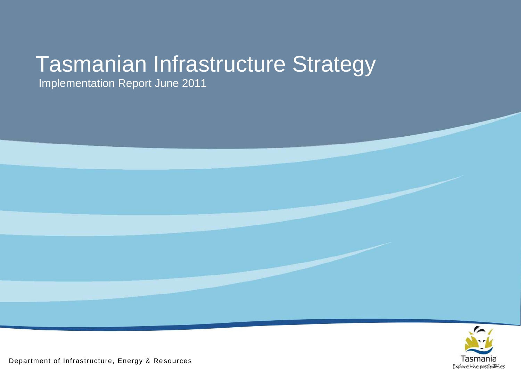# Tasmanian Infrastructure Strategy Implementation Report June 2011

Department of Infrastructure, Energy & Resources

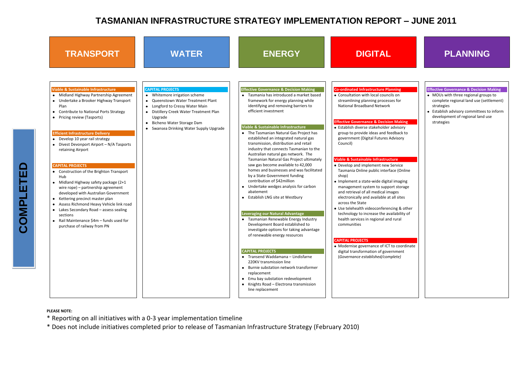## **TRANSPORT WATER ENERGY DIGITAL PLANNING**

### **Faking**

visory back to isory

vice<sup>.</sup> e (Online

naging storage l sites

g & other ability of

coordinate ment

| <b>TRANSPORT</b>                                                                                                                                                                                                                                                                                                                                                                                                                                                                                                                                                                                                                                                                                                                                                                                                                                                                         | <b>WATER</b>                                                                                                                                                                                                                                                                                             | <b>ENERGY</b>                                                                                                                                                                                                                                                                                                                                                                                                                                                                                                                                                                                                                                                                                                                                                                                                                                                                                                                               | <b>DIGITAL</b>                                                                                                                                                                                                                                                                                                                                                                                                                                                                                                                                                                                                                                                                                                                                                                                                                                           |
|------------------------------------------------------------------------------------------------------------------------------------------------------------------------------------------------------------------------------------------------------------------------------------------------------------------------------------------------------------------------------------------------------------------------------------------------------------------------------------------------------------------------------------------------------------------------------------------------------------------------------------------------------------------------------------------------------------------------------------------------------------------------------------------------------------------------------------------------------------------------------------------|----------------------------------------------------------------------------------------------------------------------------------------------------------------------------------------------------------------------------------------------------------------------------------------------------------|---------------------------------------------------------------------------------------------------------------------------------------------------------------------------------------------------------------------------------------------------------------------------------------------------------------------------------------------------------------------------------------------------------------------------------------------------------------------------------------------------------------------------------------------------------------------------------------------------------------------------------------------------------------------------------------------------------------------------------------------------------------------------------------------------------------------------------------------------------------------------------------------------------------------------------------------|----------------------------------------------------------------------------------------------------------------------------------------------------------------------------------------------------------------------------------------------------------------------------------------------------------------------------------------------------------------------------------------------------------------------------------------------------------------------------------------------------------------------------------------------------------------------------------------------------------------------------------------------------------------------------------------------------------------------------------------------------------------------------------------------------------------------------------------------------------|
| <b>Viable &amp; Sustainable Infrastructure</b><br>Midland Highway Partnership Agreement<br>Undertake a Brooker Highway Transport<br>Plan<br><b>Contribute to National Ports Strategy</b><br>$\bullet$<br>Pricing review (Tasports)<br>$\bullet$<br><b>Efficient Infrastructure Delivery</b><br>Develop 10 year rail strategy<br>$\bullet$<br>Divest Devonport Airport - N/A Tasports<br>$\bullet$<br>retaining Airport<br><b>CAPITAL PROJECTS</b><br>• Construction of the Brighton Transport<br>Hub<br>Midland Highway safety package (2+1<br>$\bullet$<br>wire rope) - partnership agreement<br>developed with Australian Government<br>Kettering precinct master plan<br>$\bullet$<br>Assess Richmond Heavy Vehicle link road<br>$\bullet$<br>Lakes Secondary Road - assess sealing<br>$\bullet$<br>sections<br>Rail Maintenance \$4m - funds used for<br>purchase of railway from PN | <b>CAPITAL PROJECTS</b><br>Whitemore irrigation scheme<br><b>Queenstown Water Treatment Plant</b><br>$\bullet$<br>Longford to Cressy Water Main<br>$\bullet$<br>Distillery Creek Water Treatment Plan<br>٠<br>Upgrade<br>Bicheno Water Storage Dam<br>$\bullet$<br>Swansea Drinking Water Supply Upgrade | <b>Effective Governance &amp; Decision Making</b><br>Tasmania has introduced a market based<br>framework for energy planning while<br>identifying and removing barriers to<br>efficient investment<br>Viable & Sustainable Infrastructure<br>• The Tasmanian Natural Gas Project has<br>established an integrated natural gas<br>transmission, distribution and retail<br>industry that connects Tasmanian to the<br>Australian natural gas network. The<br>Tasmanian Natural Gas Project ultimately<br>saw gas become available to 42,000<br>homes and businesses and was facilitated<br>by a State Government funding<br>contribution of \$42million<br>Undertake wedges analysis for carbon<br>abatement<br>Establish LNG site at Westbury<br>Leveraging our Natural Advantage<br>• Tasmanian Renewable Energy Industry<br>Development Board established to<br>investigate options for taking advantage<br>of renewable energy resources | <b>Co-ordinated Infrastructure Planning</b><br>• Consultation with local councils on<br>streamlining planning processes for<br><b>National Broadband Network</b><br><b>Effective Governance &amp; Decision Mak</b><br>• Establish diverse stakeholder adviso<br>group to provide ideas and feedbacl<br>government (Digital Futures Advisor<br>Council)<br><b>Viable &amp; Sustainable Infrastructure</b><br>• Develop and implement new Service<br>Tasmania Online public interface (O<br>shop)<br>· Implement a state-wide digital imag<br>management system to support stor<br>and retrieval of all medical images<br>electronically and available at all site<br>across the State<br>• Use telehealth videoconferencing &<br>technology to increase the availabili<br>health services in regional and rural<br>communities<br><b>CAPITAL PROJECTS</b> |
|                                                                                                                                                                                                                                                                                                                                                                                                                                                                                                                                                                                                                                                                                                                                                                                                                                                                                          |                                                                                                                                                                                                                                                                                                          | <b>CAPITAL PROJECTS</b><br>• Transend Waddamana - Lindisfarne<br>220KV transmission line<br>• Burnie substation network transformer<br>replacement<br>Emu bay substation redevelopment<br>Knights Road - Electrona transmission<br>line replacement                                                                                                                                                                                                                                                                                                                                                                                                                                                                                                                                                                                                                                                                                         | • Modernise governance of ICT to coo<br>digital transformation of governmer<br>(Governance established/complete)                                                                                                                                                                                                                                                                                                                                                                                                                                                                                                                                                                                                                                                                                                                                         |

- MOUs with three regional groups to complete regional land use (settlement) strategies
- Establish advisory committees to inform development of regional land use strategies

COMPLETED **COMPLETED**

### **Effective Governance & Decision Making**

### **PLEASE NOTE:**

- \* Reporting on all initiatives with a 0-3 year implementation timeline
- \* Does not include initiatives completed prior to release of Tasmanian Infrastructure Strategy (February 2010)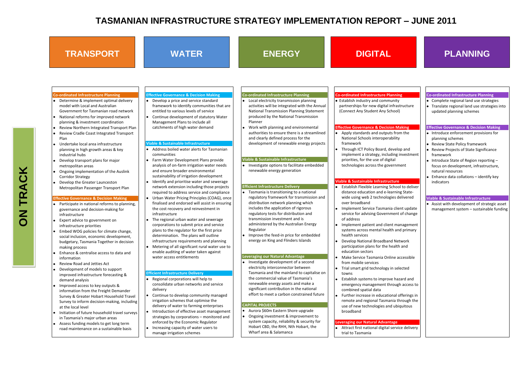### **TRANSPORT WATER ENERGY DIGITAL PLANNING Co-ordinated Infrastructure Planning**  Determine & implement optimal delivery model with Local and Australian Government for Tasmanian road network National reforms for improved network planning & investment coordination Review Northern Integrated Transport Plan Review Cradle Coast Integrated Transport Plan Undertake local area infrastructure planning in high growth areas & key industrial hubs Develop transport plans for major metropolitan areas Ongoing implementation of the Auslink Corridor Strategy Develop the Greater Launceston Metropolitan Passenger Transport Plan **Effective Governance & Decision Making** Participate in national reforms to planning, governance and decision-making for infrastructure Expert advice to government on infrastructure priorities Embed WOG policies for climate change, social inclusion, economic development, budgetary, Tasmania Together in decision making process Enhance & centralise access to data and information Review Road and Jetties Act Development of models to support improved infrastructure forecasting & demand analysis Improved access to key outputs & information from the Freight Demander Survey & Greater Hobart Household Travel Survey to inform decision-making, including at the local level • Initiation of future household travel surveys in Tasmania's major urban areas Assess funding models to get long term road maintenance on a sustainable basis **Effective Governance & Decision Making**  Develop a price and service standard framework to identify communities that are entitled to various levels of service Continue development of statutory Water Management Plans to include all catchments of high water demand **Viable & Sustainable Infrastructure**  Address boiled water alerts for Tasmanian communities Farm Water Development Plans provide analysis of on-farm irrigation water needs and ensure broader environmental sustainability of irrigation development Identify and prioritise water and sewerage network extension including those projects required to address service and compliance Urban Water Pricing Principles (COAG), once finalised and endorsed will assist in ensuring the cost recovery and reinvestment in infrastructure The regional urban water and sewerage corporations to submit price and service plans to the regulator for the first price determination. The plans will outline infrastructure requirements and planning Metering of all significant rural water use to enable auditing of water taken against water access entitlements **Efficient Infrastructure Delivery**  Regional corporations will help to consolidate urban networks and service delivery Continue to develop community managed irrigation schemes that optimise the delivery of water to farming enterprises Introduction of effective asset management strategies by corporations – monitored and enforced by the Economic Regulator Increasing capacity of water users to manage irrigation schemes **Co-ordinated Infrastructure Planning**  Local electricity transmission planning activities will be integrated with the Annual National Transmission Planning Statement produced by the National Transmission Planner Work with planning and environmental authorities to ensure there is a streamlined and clearly defined process for the development of renewable energy projects **Viable & Sustainable Infrastructure Investigate options to facilitate embedded** renewable energy generation **Efficient Infrastructure Delivery**  Tasmania is transitioning to a national regulatory framework for transmission and distribution network planning which includes the application of rigorous regulatory tests for distribution and transmission investment and is administered by the Australian Energy Regulator Improve the feed-in price for embedded energy on King and Flinders Islands **Leveraging our Natural Advantage** • Investigate development of a second electricity interconnector between Tasmania and the mainland to capitalise on the commercial value of Tasmania's renewable energy assets and make a significant contribution in the national effort to meet a carbon constrained future **CAPITAL PROJECTS** Aurora \$60m Eastern Shore upgrade Ongoing investment & improvement to system capacity, reliability & security for Hobart CBD, the RHH, Nth Hobart, the Wharf area & Salamanca **Co-ordinated Infrastructure Planning**  Establish industry and community partnerships for new digital infrastructure (Connect Any Student Any School) **Effective Governance & Decision Making**  Apply standards and outputs from the National Schools interoperability framework Through ICT Policy Board, develop and implement a strategy, including investment priorities, for the use of digital technologies across the government **Viable & Sustainable Infrastructure**  Establish Flexible Learning School to deliver distance education and e-learning Statewide using web 2 technologies delivered over broadband Implement Service Tasmania client update service for advising Government of change of address Implement patient and client management systems across mental health and primary health services Develop National Broadband Network participation plans for the health and education sectors Make Service Tasmania Online accessible from mobile services Trial smart grid technology in selected towns Establish systems to improve hazard and emergency management through access to combined spatial data Further increase in educational offerings in remote and regional Tasmania through the use of new technologies and ubiquitous broadband **Leveraging our Natural Advantage** Attract first national digital service delivery trial to Tasmania

- Introduce enforcement provisions for planning schemes
- **•** Review State Policy framework
- Review Projects of State Significance framework
- Introduce State of Region reporting focus on development, infrastructure, natural resources
- Enhance data collations identify key indicators

### **Co-ordinated Infrastructure Planning**

- Complete regional land use strategies
- Translate regional land use strategies into updated planning schemes

### **Effective Governance & Decision Making**

### **Viable & Sustainable Infrastructure**

Assist with development of strategic asset management system – sustainable funding

**ON TRACK**

 $\overline{\mathsf{S}}$ 

TRACK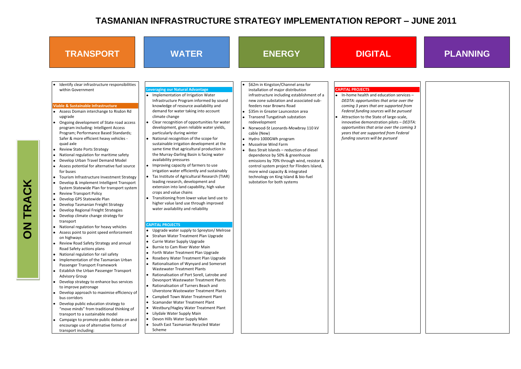| <b>TRANSPORT</b>                                                                                                                                                                                                                                                                                                                                                                                                                                                                                                                                                                                                                                                                                                                                                                                                                                                                                                                                                                                                                                                                                                                                                                                                                                                                                                                                                                                                                                                                                                                                                                                                                       | <b>WATER</b>                                                                                                                                                                                                                                                                                                                                                                                                                                                                                                                                                                                                                                                                                                                                                                                                                                                                                                                                                                                                                                                                                                                                                                                                                                                                                                                                                                                                                                                                                                                                                                                                                                                                                                                                                                                                                                                                              | <b>ENERGY</b>                                                                                                                                                                                                                                                                                                                                                                                                                                                                                                                                                                                                                                                                                                                          | <b>DIGITAL</b>                                                                                                                                                                                                                                                                                                                 |
|----------------------------------------------------------------------------------------------------------------------------------------------------------------------------------------------------------------------------------------------------------------------------------------------------------------------------------------------------------------------------------------------------------------------------------------------------------------------------------------------------------------------------------------------------------------------------------------------------------------------------------------------------------------------------------------------------------------------------------------------------------------------------------------------------------------------------------------------------------------------------------------------------------------------------------------------------------------------------------------------------------------------------------------------------------------------------------------------------------------------------------------------------------------------------------------------------------------------------------------------------------------------------------------------------------------------------------------------------------------------------------------------------------------------------------------------------------------------------------------------------------------------------------------------------------------------------------------------------------------------------------------|-------------------------------------------------------------------------------------------------------------------------------------------------------------------------------------------------------------------------------------------------------------------------------------------------------------------------------------------------------------------------------------------------------------------------------------------------------------------------------------------------------------------------------------------------------------------------------------------------------------------------------------------------------------------------------------------------------------------------------------------------------------------------------------------------------------------------------------------------------------------------------------------------------------------------------------------------------------------------------------------------------------------------------------------------------------------------------------------------------------------------------------------------------------------------------------------------------------------------------------------------------------------------------------------------------------------------------------------------------------------------------------------------------------------------------------------------------------------------------------------------------------------------------------------------------------------------------------------------------------------------------------------------------------------------------------------------------------------------------------------------------------------------------------------------------------------------------------------------------------------------------------------|----------------------------------------------------------------------------------------------------------------------------------------------------------------------------------------------------------------------------------------------------------------------------------------------------------------------------------------------------------------------------------------------------------------------------------------------------------------------------------------------------------------------------------------------------------------------------------------------------------------------------------------------------------------------------------------------------------------------------------------|--------------------------------------------------------------------------------------------------------------------------------------------------------------------------------------------------------------------------------------------------------------------------------------------------------------------------------|
| Identify clear infrastructure responsibilities<br>within Government<br><b>Viable &amp; Sustainable Infrastructure</b><br>Assess Domain interchange to Risdon Rd<br>upgrade<br>Ongoing development of State road access<br>program including: Intelligent Access<br>Program; Performance Based Standards;<br>Safer & more efficient heavy vehicles -<br>quad axle<br><b>Review State Ports Strategy</b><br>National regulation for maritime safety<br>Develop Urban Travel Demand Model<br>Assess potential for alternative fuel source<br>for buses<br>Tourism Infrastructure Investment Strategy<br>Develop & implement Intelligent Transport<br>System Statewide Plan for transport system<br><b>Review Transport Policy</b><br>Develop GPS Statewide Plan<br>Develop Tasmanian Freight Strategy<br>Develop Regional Freight Strategies<br>Develop climate change strategy for<br>transport<br>National regulation for heavy vehicles<br>Assess point to point speed enforcement<br>on highways<br>Review Road Safety Strategy and annual<br>Road Safety actions plans<br>National regulation for rail safety<br>Implementation of the Tasmanian Urban<br>Passenger Transport Framework<br>Establish the Urban Passenger Transport<br><b>Advisory Group</b><br>Develop strategy to enhance bus services<br>to improve patronage<br>Develop approach to maximise efficiency of<br>bus corridors<br>Develop public education strategy to<br>"move minds" from traditional thinking of<br>transport to a sustainable model<br>Campaign to promote public debate on and<br>encourage use of alternative forms of<br>transport including: | <b>Leveraging our Natural Advantage</b><br>• Implementation of Irrigation Water<br>Infrastructure Program informed by sound<br>knowledge of resource availability and<br>demand for water taking into account<br>climate change<br>Clear recognition of opportunities for water<br>$\bullet$<br>development, given reliable water yields,<br>particularly during winter<br>National recognition of the scope for<br>$\bullet$<br>sustainable irrigation development at the<br>same time that agricultural production in<br>the Murray-Darling Basin is facing water<br>availability pressures<br>Improving capacity of farmers to use<br>$\bullet$<br>irrigation water efficiently and sustainably<br>Tas Institute of Agricultural Research (TIAR)<br>$\bullet$<br>leading research, development and<br>extension into land capability, high value<br>crops and value chains<br>Transitioning from lower value land use to<br>$\bullet$<br>higher value land use through improved<br>water availability and reliability<br><b>CAPITAL PROJECTS</b><br>Upgrade water supply to Spreyton/ Melrose<br>٠<br>Strahan Water Treatment Plan Upgrade<br>٠<br>Currie Water Supply Upgrade<br>٠<br>Burnie to Cam River Water Main<br>٠<br>Forth Water Treatment Plan Upgrade<br>٠<br>Rosebery Water Treatment Plan Upgrade<br>٠<br>Rationalisation of Wynyard and Somerset<br>$\bullet$<br><b>Wastewater Treatment Plants</b><br>Rationalisation of Port Sorell, Latrobe and<br>۰<br>Devonport Wastewater Treatment Plants<br>Rationalisation of Turners Beach and<br>٠<br>Ulverstone Wastewater Treatment Plants<br>Campbell Town Water Treatment Plant<br>٠<br>Scamander Water Treatment Plant<br>٠<br>Westbury/Hagley Water Treatment Plant<br>٠<br>Lilydale Water Supply Main<br>$\bullet$<br>Devon Hills Water Supply Main<br>$\bullet$<br>South East Tasmanian Recycled Water<br>۰<br>Scheme | \$62m in Kingston/Channel area for<br>$\bullet$<br>installation of major distribution<br>infrastructure including establishment of a<br>new zone substation and associated sub-<br>feeders near Browns Road<br>\$35m in Greater Launceston area<br><b>Transend Tungatinah substation</b><br>$\bullet$<br>redevelopment<br>• Norwood-St Leonards-Mowbray 110 kV<br>cable (New)<br>Hydro 1000GWh program<br>$\bullet$<br><b>Musselroe Wind Farm</b><br>Bass Strait Islands - reduction of diesel<br>dependence by 50% & greenhouse<br>emissions by 70% through wind, resistor &<br>control system project for Flinders Island,<br>more wind capacity & integrated<br>technology on King Island & bio-fuel<br>substation for both systems | <b>CAPITAL PROJECTS</b><br>• In-home health and education<br>DEDTA: opportunities that ar<br>coming 3 years that are supp<br>Federal funding sources will<br>Attraction to the State of larg<br>innovative demonstration pi<br>opportunities that arise over<br>years that are supported froi<br>funding sources will be pursu |

**ON TRACK ON TRACK**

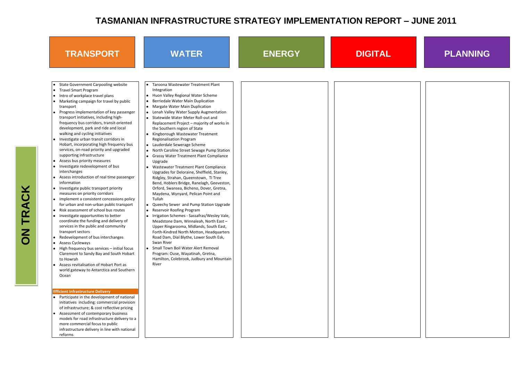



| Taroona Wastewater Treatment Plant<br><b>State Government Carpooling website</b><br>$\bullet$<br>Integration<br>• Travel Smart Program<br>Huon Valley Regional Water Scheme<br>Intro of workplace travel plans<br>$\bullet$<br>Marketing campaign for travel by public<br>Berriedale Water Main Duplication<br>$\bullet$<br>Margate Water Main Duplication<br>transport<br>Progress implementation of key passenger<br>Lenah Valley Water Supply Augmentation<br>٠<br>transport initiatives, including high-<br>Statewide Water Meter Roll-out and<br>frequency bus corridors, transit-oriented<br>Replacement Project - majority of works in<br>development, park and ride and local<br>the Southern region of State<br>walking and cycling initiatives<br>Kingborough Wastewater Treatment<br>• Investigate urban transit corridors in<br><b>Regionalisation Program</b><br>Hobart, incorporating high frequency bus<br>Lauderdale Sewerage Scheme<br>services, on-road priority and upgraded<br>North Caroline Street Sewage Pump Station<br>supporting infrastructure<br><b>Grassy Water Treatment Plant Compliance</b><br>Assess bus priority measures<br>$\bullet$<br>Upgrade<br>Investigate redevelopment of bus<br>Wastewater Treatment Plant Compliance<br>interchanges<br>Upgrades for Deloraine, Sheffield, Stanley,<br>• Assess introduction of real time passenger<br>Ridgley, Strahan, Queenstown, Ti Tree<br>information<br>Bend, Hoblers Bridge, Ranelagh, Geeveston,<br><b>TRACK</b><br>• Investigate public transport priority<br>Orford, Swansea, Bicheno, Dover, Gretna,<br>measures on priority corridors<br>Maydena, Wynyard, Pelican Point and<br>• Implement a consistent concessions policy<br>Tullah<br>for urban and non-urban public transport<br>Queechy Sewer and Pump Station Upgrade<br>Risk assessment of school bus routes<br>Reservoir Roofing Program<br>$\bullet$<br>• Investigate opportunities to better<br>Irrigation Schemes - Sassafras/Wesley Vale,<br>coordinate the funding and delivery of<br>Meadstone Dam, Winnaleah, North East -<br>services in the public and community<br>Upper Ringarooma, Midlands, South East,<br>transport sectors<br>Forth-Kindred North Motton, Headquarters<br>Redevelopment of bus interchanges<br>Road Dam, Dial Blythe, Lower South Esk,<br>Swan River<br>Assess Cycleways<br>$\bullet$<br>High frequency bus services - initial focus<br>Small Town Boil Water Alert Removal<br>$\bullet$<br>Program: Ouse, Wayatinah, Gretna,<br>Claremont to Sandy Bay and South Hobart<br>Hamilton, Colebrook, Judbury and Mountain<br>to Howrah<br>River<br>• Assess revitalisation of Hobart Port as<br>world gateway to Antarctica and Southern<br>Ocean<br><b>Efficient Infrastructure Delivery</b><br>• Participate in the development of national<br>initiatives including: commercial provision<br>of infrastructure; & cost reflective pricing<br>• Assessment of contemporary business<br>models for road infrastructure delivery to a |  |
|-------------------------------------------------------------------------------------------------------------------------------------------------------------------------------------------------------------------------------------------------------------------------------------------------------------------------------------------------------------------------------------------------------------------------------------------------------------------------------------------------------------------------------------------------------------------------------------------------------------------------------------------------------------------------------------------------------------------------------------------------------------------------------------------------------------------------------------------------------------------------------------------------------------------------------------------------------------------------------------------------------------------------------------------------------------------------------------------------------------------------------------------------------------------------------------------------------------------------------------------------------------------------------------------------------------------------------------------------------------------------------------------------------------------------------------------------------------------------------------------------------------------------------------------------------------------------------------------------------------------------------------------------------------------------------------------------------------------------------------------------------------------------------------------------------------------------------------------------------------------------------------------------------------------------------------------------------------------------------------------------------------------------------------------------------------------------------------------------------------------------------------------------------------------------------------------------------------------------------------------------------------------------------------------------------------------------------------------------------------------------------------------------------------------------------------------------------------------------------------------------------------------------------------------------------------------------------------------------------------------------------------------------------------------------------------------------------------------------------------------------------------------------------------------------------------------------------------------------------------------------------------------------------------------------------------------------------------------------------------------------------------------|--|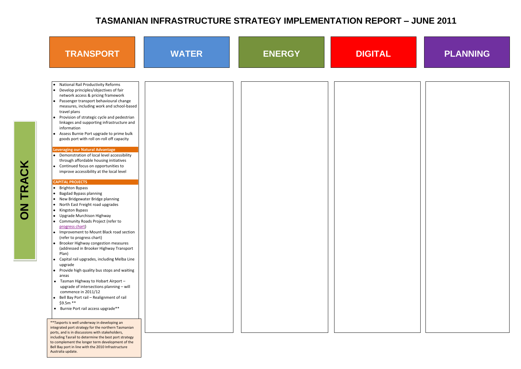



| <b>TRANSPORT</b>                                                                                                                                                                                                                                                                                                                                                                                                                                                                                                                                                                                                                                                                                                                                                                                                                                                                                                                                                                                                                                                                                                                                                                                                                                                                                                                                                                                                                                            | <b>WATER</b> | <b>ENERGY</b> | <b>DIGITAL</b> |
|-------------------------------------------------------------------------------------------------------------------------------------------------------------------------------------------------------------------------------------------------------------------------------------------------------------------------------------------------------------------------------------------------------------------------------------------------------------------------------------------------------------------------------------------------------------------------------------------------------------------------------------------------------------------------------------------------------------------------------------------------------------------------------------------------------------------------------------------------------------------------------------------------------------------------------------------------------------------------------------------------------------------------------------------------------------------------------------------------------------------------------------------------------------------------------------------------------------------------------------------------------------------------------------------------------------------------------------------------------------------------------------------------------------------------------------------------------------|--------------|---------------|----------------|
| <b>National Rail Productivity Reforms</b><br>• Develop principles/objectives of fair<br>network access & pricing framework<br>Passenger transport behavioural change<br>measures, including work and school-based<br>travel plans<br>Provision of strategic cycle and pedestrian<br>linkages and supporting infrastructure and<br>information<br>Assess Burnie Port upgrade to prime bulk<br>goods port with roll on-roll off capacity<br><b>Leveraging our Natural Advantage</b><br>• Demonstration of local level accessibility<br>through affordable housing initiatives<br>• Continued focus on opportunities to<br>improve accessibility at the local level<br><b>CAPITAL PROJECTS</b><br><b>Brighton Bypass</b><br><b>Bagdad Bypass planning</b><br>New Bridgewater Bridge planning<br>North East Freight road upgrades<br>Kingston Bypass<br><b>Upgrade Murchison Highway</b><br>Community Roads Project (refer to<br>progress chart)<br>Improvement to Mount Black road section<br>(refer to progress chart)<br><b>Brooker Highway congestion measures</b><br>(addressed in Brooker Highway Transport<br>Plan)<br>Capital rail upgrades, including Melba Line<br>upgrade<br>Provide high quality bus stops and waiting<br>areas<br>Tasman Highway to Hobart Airport -<br>$\bullet$<br>upgrade of intersections planning - will<br>commence in 2011/12<br>Bell Bay Port rail - Realignment of rail<br>\$9.5m **<br>Burnie Port rail access upgrade** |              |               |                |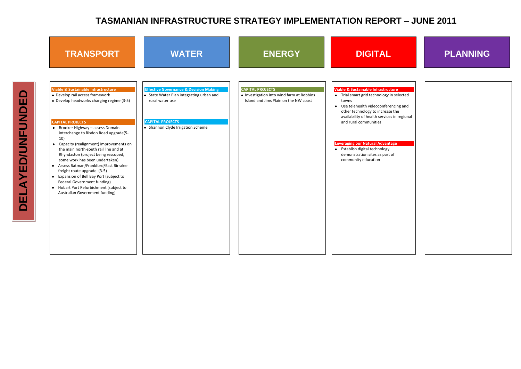

| <b>CAPITAL PROJECTS</b>                                                            |                                                                                                                                                                                                                                                                                                                                                                                        |
|------------------------------------------------------------------------------------|----------------------------------------------------------------------------------------------------------------------------------------------------------------------------------------------------------------------------------------------------------------------------------------------------------------------------------------------------------------------------------------|
| • Investigation into wind farm at Robbins<br>Island and Jims Plain on the NW coast | <b>Viable &amp; Sustainable Infrastructure</b><br>• Trial smart grid technology in sele<br>towns<br>Use telehealth videoconferencing<br>$\bullet$<br>other technology to increase the<br>availability of health services in re<br>and rural communities<br>Leveraging our Natural Advantage<br>• Establish digital technology<br>demonstration sites as part of<br>community education |
|                                                                                    |                                                                                                                                                                                                                                                                                                                                                                                        |